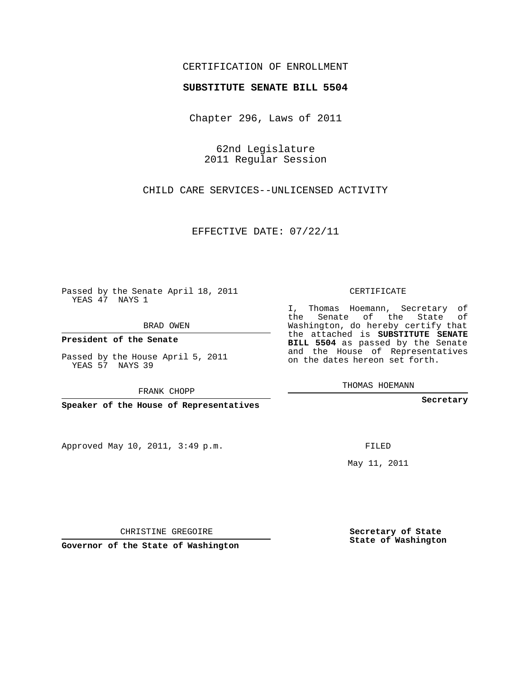## CERTIFICATION OF ENROLLMENT

## **SUBSTITUTE SENATE BILL 5504**

Chapter 296, Laws of 2011

62nd Legislature 2011 Regular Session

CHILD CARE SERVICES--UNLICENSED ACTIVITY

EFFECTIVE DATE: 07/22/11

Passed by the Senate April 18, 2011 YEAS 47 NAYS 1

BRAD OWEN

**President of the Senate**

Passed by the House April 5, 2011 YEAS 57 NAYS 39

FRANK CHOPP

**Speaker of the House of Representatives**

Approved May 10, 2011, 3:49 p.m.

CERTIFICATE

I, Thomas Hoemann, Secretary of the Senate of the State of Washington, do hereby certify that the attached is **SUBSTITUTE SENATE BILL 5504** as passed by the Senate and the House of Representatives on the dates hereon set forth.

THOMAS HOEMANN

**Secretary**

FILED

May 11, 2011

**Secretary of State State of Washington**

CHRISTINE GREGOIRE

**Governor of the State of Washington**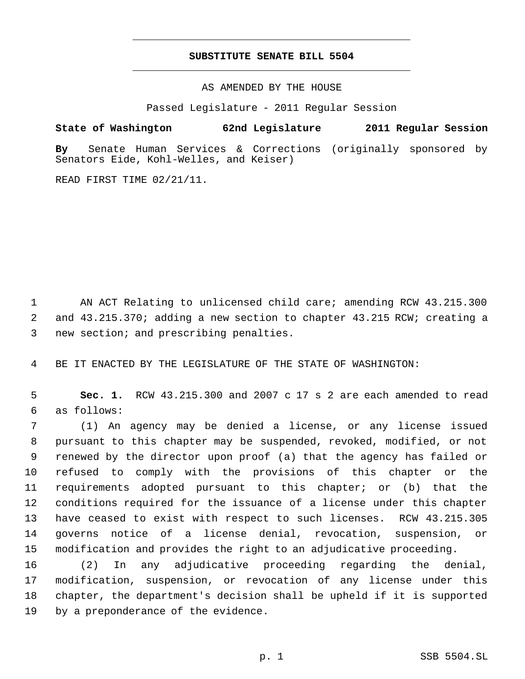## **SUBSTITUTE SENATE BILL 5504** \_\_\_\_\_\_\_\_\_\_\_\_\_\_\_\_\_\_\_\_\_\_\_\_\_\_\_\_\_\_\_\_\_\_\_\_\_\_\_\_\_\_\_\_\_

\_\_\_\_\_\_\_\_\_\_\_\_\_\_\_\_\_\_\_\_\_\_\_\_\_\_\_\_\_\_\_\_\_\_\_\_\_\_\_\_\_\_\_\_\_

AS AMENDED BY THE HOUSE

Passed Legislature - 2011 Regular Session

**State of Washington 62nd Legislature 2011 Regular Session**

**By** Senate Human Services & Corrections (originally sponsored by Senators Eide, Kohl-Welles, and Keiser)

READ FIRST TIME 02/21/11.

 AN ACT Relating to unlicensed child care; amending RCW 43.215.300 and 43.215.370; adding a new section to chapter 43.215 RCW; creating a new section; and prescribing penalties.

BE IT ENACTED BY THE LEGISLATURE OF THE STATE OF WASHINGTON:

 **Sec. 1.** RCW 43.215.300 and 2007 c 17 s 2 are each amended to read as follows:

 (1) An agency may be denied a license, or any license issued pursuant to this chapter may be suspended, revoked, modified, or not renewed by the director upon proof (a) that the agency has failed or refused to comply with the provisions of this chapter or the requirements adopted pursuant to this chapter; or (b) that the conditions required for the issuance of a license under this chapter have ceased to exist with respect to such licenses. RCW 43.215.305 governs notice of a license denial, revocation, suspension, or modification and provides the right to an adjudicative proceeding.

 (2) In any adjudicative proceeding regarding the denial, modification, suspension, or revocation of any license under this chapter, the department's decision shall be upheld if it is supported by a preponderance of the evidence.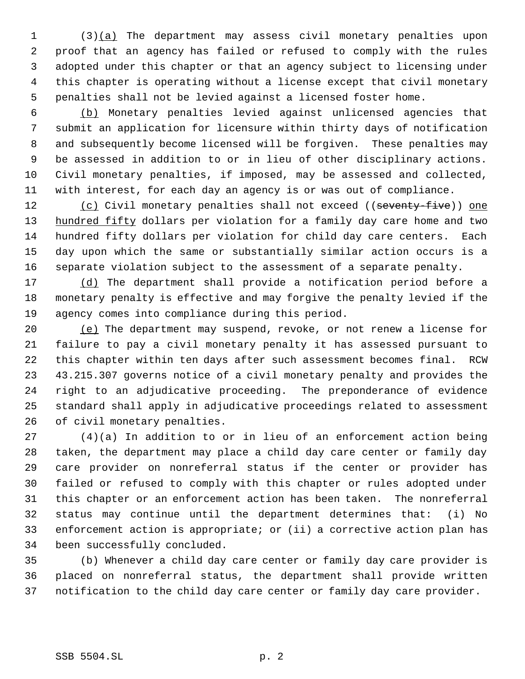(3)(a) The department may assess civil monetary penalties upon proof that an agency has failed or refused to comply with the rules adopted under this chapter or that an agency subject to licensing under this chapter is operating without a license except that civil monetary penalties shall not be levied against a licensed foster home.

 (b) Monetary penalties levied against unlicensed agencies that submit an application for licensure within thirty days of notification and subsequently become licensed will be forgiven. These penalties may be assessed in addition to or in lieu of other disciplinary actions. Civil monetary penalties, if imposed, may be assessed and collected, with interest, for each day an agency is or was out of compliance.

12 (c) Civil monetary penalties shall not exceed ((seventy-five)) one 13 hundred fifty dollars per violation for a family day care home and two hundred fifty dollars per violation for child day care centers. Each day upon which the same or substantially similar action occurs is a separate violation subject to the assessment of a separate penalty.

17 (d) The department shall provide a notification period before a monetary penalty is effective and may forgive the penalty levied if the agency comes into compliance during this period.

20 (e) The department may suspend, revoke, or not renew a license for failure to pay a civil monetary penalty it has assessed pursuant to this chapter within ten days after such assessment becomes final. RCW 43.215.307 governs notice of a civil monetary penalty and provides the right to an adjudicative proceeding. The preponderance of evidence standard shall apply in adjudicative proceedings related to assessment of civil monetary penalties.

 (4)(a) In addition to or in lieu of an enforcement action being taken, the department may place a child day care center or family day care provider on nonreferral status if the center or provider has failed or refused to comply with this chapter or rules adopted under this chapter or an enforcement action has been taken. The nonreferral status may continue until the department determines that: (i) No enforcement action is appropriate; or (ii) a corrective action plan has been successfully concluded.

 (b) Whenever a child day care center or family day care provider is placed on nonreferral status, the department shall provide written notification to the child day care center or family day care provider.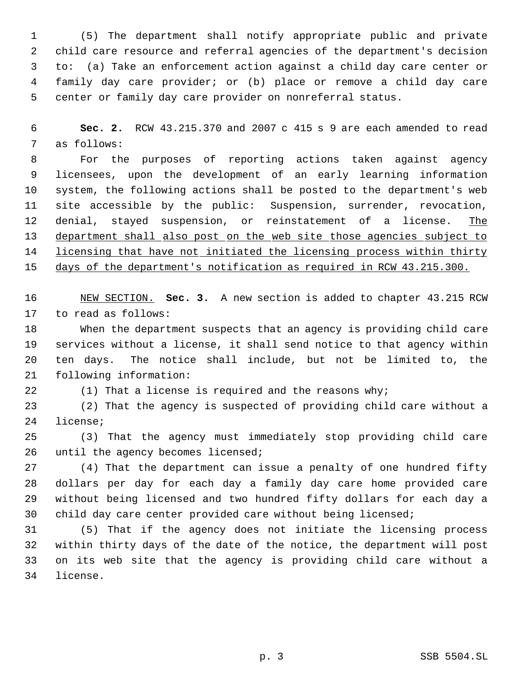(5) The department shall notify appropriate public and private child care resource and referral agencies of the department's decision to: (a) Take an enforcement action against a child day care center or family day care provider; or (b) place or remove a child day care center or family day care provider on nonreferral status.

 **Sec. 2.** RCW 43.215.370 and 2007 c 415 s 9 are each amended to read as follows:

 For the purposes of reporting actions taken against agency licensees, upon the development of an early learning information system, the following actions shall be posted to the department's web site accessible by the public: Suspension, surrender, revocation, 12 denial, stayed suspension, or reinstatement of a license. The department shall also post on the web site those agencies subject to 14 licensing that have not initiated the licensing process within thirty

days of the department's notification as required in RCW 43.215.300.

 NEW SECTION. **Sec. 3.** A new section is added to chapter 43.215 RCW to read as follows:

 When the department suspects that an agency is providing child care services without a license, it shall send notice to that agency within ten days. The notice shall include, but not be limited to, the following information:

(1) That a license is required and the reasons why;

 (2) That the agency is suspected of providing child care without a license;

 (3) That the agency must immediately stop providing child care 26 until the agency becomes licensed;

 (4) That the department can issue a penalty of one hundred fifty dollars per day for each day a family day care home provided care without being licensed and two hundred fifty dollars for each day a child day care center provided care without being licensed;

 (5) That if the agency does not initiate the licensing process within thirty days of the date of the notice, the department will post on its web site that the agency is providing child care without a license.